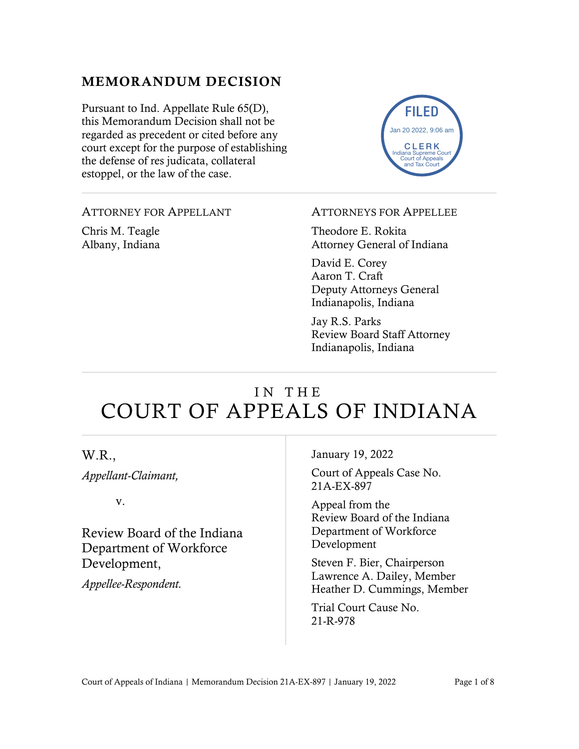## MEMORANDUM DECISION

Pursuant to Ind. Appellate Rule 65(D), this Memorandum Decision shall not be regarded as precedent or cited before any court except for the purpose of establishing the defense of res judicata, collateral estoppel, or the law of the case.



#### ATTORNEY FOR APPELLANT

Chris M. Teagle Albany, Indiana

#### ATTORNEYS FOR APPELLEE

Theodore E. Rokita Attorney General of Indiana

David E. Corey Aaron T. Craft Deputy Attorneys General Indianapolis, Indiana

Jay R.S. Parks Review Board Staff Attorney Indianapolis, Indiana

# IN THE COURT OF APPEALS OF INDIANA

| W.R.,<br>Appellant-Claimant,                                                                         | January 19, 2022<br>Court of Appeals Case No.<br>21A-EX-897                                                                                                                                                               |
|------------------------------------------------------------------------------------------------------|---------------------------------------------------------------------------------------------------------------------------------------------------------------------------------------------------------------------------|
| V.<br>Review Board of the Indiana<br>Department of Workforce<br>Development,<br>Appellee-Respondent. | Appeal from the<br>Review Board of the Indiana<br>Department of Workforce<br>Development<br>Steven F. Bier, Chairperson<br>Lawrence A. Dailey, Member<br>Heather D. Cummings, Member<br>Trial Court Cause No.<br>21-R-978 |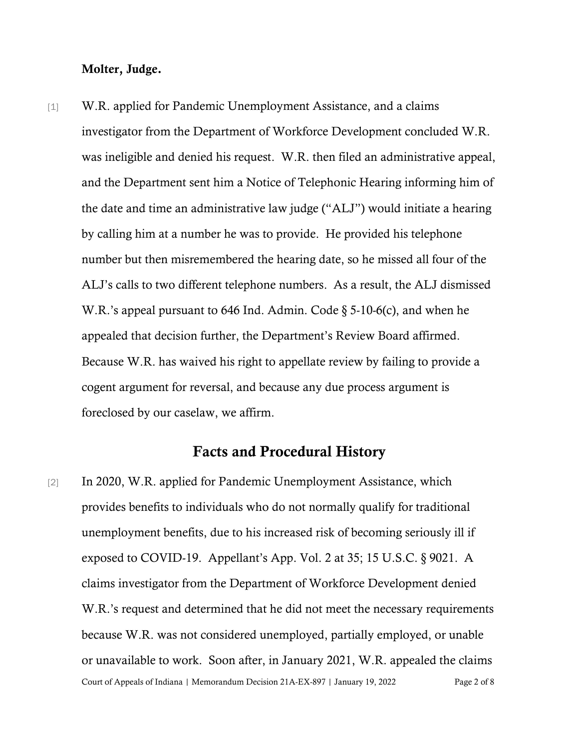#### Molter, Judge.

[1] W.R. applied for Pandemic Unemployment Assistance, and a claims investigator from the Department of Workforce Development concluded W.R. was ineligible and denied his request. W.R. then filed an administrative appeal, and the Department sent him a Notice of Telephonic Hearing informing him of the date and time an administrative law judge ("ALJ") would initiate a hearing by calling him at a number he was to provide. He provided his telephone number but then misremembered the hearing date, so he missed all four of the ALJ's calls to two different telephone numbers. As a result, the ALJ dismissed W.R.'s appeal pursuant to 646 Ind. Admin. Code  $\S$  5-10-6(c), and when he appealed that decision further, the Department's Review Board affirmed. Because W.R. has waived his right to appellate review by failing to provide a cogent argument for reversal, and because any due process argument is foreclosed by our caselaw, we affirm.

## Facts and Procedural History

Court of Appeals of Indiana | Memorandum Decision 21A-EX-897 | January 19, 2022 Page 2 of 8 [2] In 2020, W.R. applied for Pandemic Unemployment Assistance, which provides benefits to individuals who do not normally qualify for traditional unemployment benefits, due to his increased risk of becoming seriously ill if exposed to COVID-19. Appellant's App. Vol. 2 at 35; 15 U.S.C. § 9021. A claims investigator from the Department of Workforce Development denied W.R.'s request and determined that he did not meet the necessary requirements because W.R. was not considered unemployed, partially employed, or unable or unavailable to work. Soon after, in January 2021, W.R. appealed the claims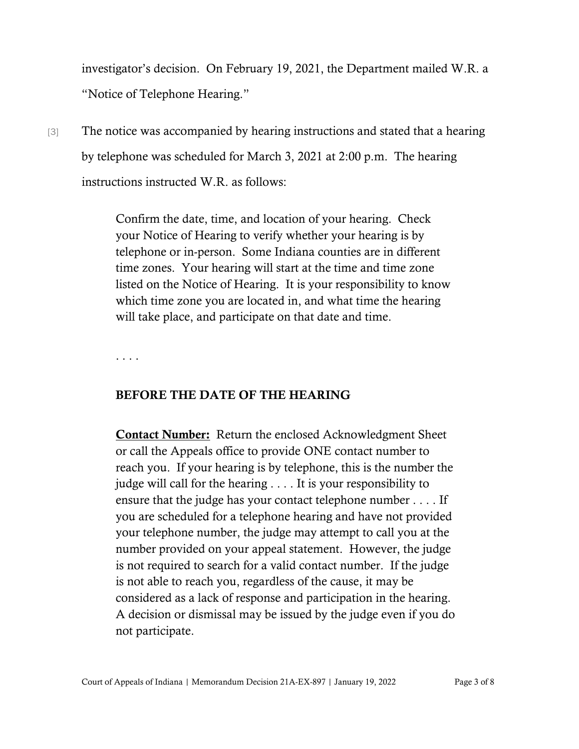investigator's decision. On February 19, 2021, the Department mailed W.R. a "Notice of Telephone Hearing."

[3] The notice was accompanied by hearing instructions and stated that a hearing by telephone was scheduled for March 3, 2021 at 2:00 p.m. The hearing instructions instructed W.R. as follows:

> Confirm the date, time, and location of your hearing. Check your Notice of Hearing to verify whether your hearing is by telephone or in-person. Some Indiana counties are in different time zones. Your hearing will start at the time and time zone listed on the Notice of Hearing. It is your responsibility to know which time zone you are located in, and what time the hearing will take place, and participate on that date and time.

. . . .

#### BEFORE THE DATE OF THE HEARING

**Contact Number:** Return the enclosed Acknowledgment Sheet or call the Appeals office to provide ONE contact number to reach you. If your hearing is by telephone, this is the number the judge will call for the hearing . . . . It is your responsibility to ensure that the judge has your contact telephone number . . . . If you are scheduled for a telephone hearing and have not provided your telephone number, the judge may attempt to call you at the number provided on your appeal statement. However, the judge is not required to search for a valid contact number. If the judge is not able to reach you, regardless of the cause, it may be considered as a lack of response and participation in the hearing. A decision or dismissal may be issued by the judge even if you do not participate.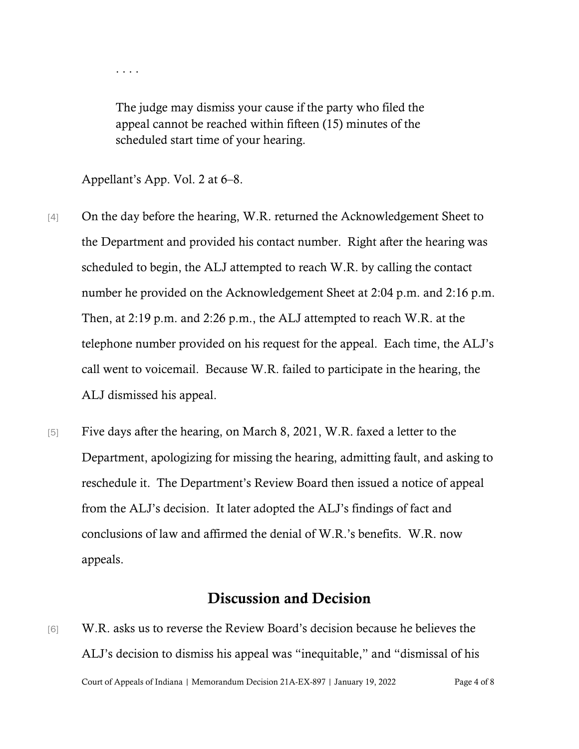. . . .

The judge may dismiss your cause if the party who filed the appeal cannot be reached within fifteen (15) minutes of the scheduled start time of your hearing.

Appellant's App. Vol. 2 at 6–8.

- [4] On the day before the hearing, W.R. returned the Acknowledgement Sheet to the Department and provided his contact number. Right after the hearing was scheduled to begin, the ALJ attempted to reach W.R. by calling the contact number he provided on the Acknowledgement Sheet at 2:04 p.m. and 2:16 p.m. Then, at 2:19 p.m. and 2:26 p.m., the ALJ attempted to reach W.R. at the telephone number provided on his request for the appeal. Each time, the ALJ's call went to voicemail. Because W.R. failed to participate in the hearing, the ALJ dismissed his appeal.
- [5] Five days after the hearing, on March 8, 2021, W.R. faxed a letter to the Department, apologizing for missing the hearing, admitting fault, and asking to reschedule it. The Department's Review Board then issued a notice of appeal from the ALJ's decision. It later adopted the ALJ's findings of fact and conclusions of law and affirmed the denial of W.R.'s benefits. W.R. now appeals.

### Discussion and Decision

Court of Appeals of Indiana | Memorandum Decision 21A-EX-897 | January 19, 2022 Page 4 of 8 [6] W.R. asks us to reverse the Review Board's decision because he believes the ALJ's decision to dismiss his appeal was "inequitable," and "dismissal of his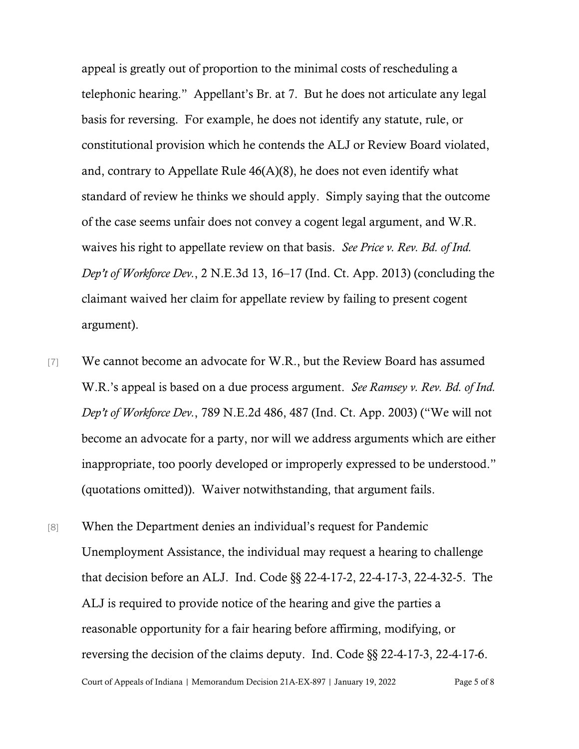appeal is greatly out of proportion to the minimal costs of rescheduling a telephonic hearing." Appellant's Br. at 7. But he does not articulate any legal basis for reversing. For example, he does not identify any statute, rule, or constitutional provision which he contends the ALJ or Review Board violated, and, contrary to Appellate Rule 46(A)(8), he does not even identify what standard of review he thinks we should apply. Simply saying that the outcome of the case seems unfair does not convey a cogent legal argument, and W.R. waives his right to appellate review on that basis. *See Price v. Rev. Bd. of Ind. Dep't of Workforce Dev.*, 2 N.E.3d 13, 16–17 (Ind. Ct. App. 2013) (concluding the claimant waived her claim for appellate review by failing to present cogent argument).

- [7] We cannot become an advocate for W.R., but the Review Board has assumed W.R.'s appeal is based on a due process argument. *See Ramsey v. Rev. Bd. of Ind. Dep't of Workforce Dev.*, 789 N.E.2d 486, 487 (Ind. Ct. App. 2003) ("We will not become an advocate for a party, nor will we address arguments which are either inappropriate, too poorly developed or improperly expressed to be understood." (quotations omitted)). Waiver notwithstanding, that argument fails.
- [8] When the Department denies an individual's request for Pandemic Unemployment Assistance, the individual may request a hearing to challenge that decision before an ALJ. Ind. Code §§ 22-4-17-2, 22-4-17-3, 22-4-32-5. The ALJ is required to provide notice of the hearing and give the parties a reasonable opportunity for a fair hearing before affirming, modifying, or reversing the decision of the claims deputy. Ind. Code §§ 22-4-17-3, 22-4-17-6.

Court of Appeals of Indiana | Memorandum Decision 21A-EX-897 | January 19, 2022 Page 5 of 8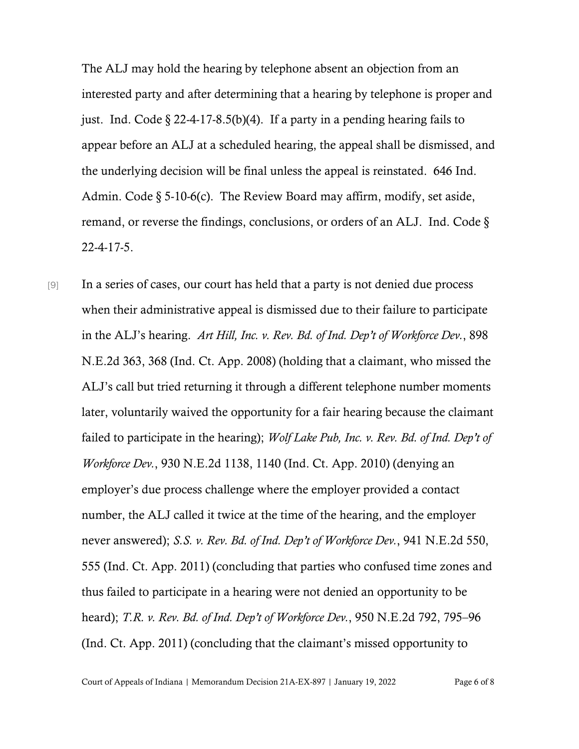The ALJ may hold the hearing by telephone absent an objection from an interested party and after determining that a hearing by telephone is proper and just. Ind. Code  $\S$  22-4-17-8.5(b)(4). If a party in a pending hearing fails to appear before an ALJ at a scheduled hearing, the appeal shall be dismissed, and the underlying decision will be final unless the appeal is reinstated. 646 Ind. Admin. Code  $\S$  5-10-6(c). The Review Board may affirm, modify, set aside, remand, or reverse the findings, conclusions, or orders of an ALJ. Ind. Code § 22-4-17-5.

[9] In a series of cases, our court has held that a party is not denied due process when their administrative appeal is dismissed due to their failure to participate in the ALJ's hearing. *Art Hill, Inc. v. Rev. Bd. of Ind. Dep't of Workforce Dev.*, 898 N.E.2d 363, 368 (Ind. Ct. App. 2008) (holding that a claimant, who missed the ALJ's call but tried returning it through a different telephone number moments later, voluntarily waived the opportunity for a fair hearing because the claimant failed to participate in the hearing); *Wolf Lake Pub, Inc. v. Rev. Bd. of Ind. Dep't of Workforce Dev.*, 930 N.E.2d 1138, 1140 (Ind. Ct. App. 2010) (denying an employer's due process challenge where the employer provided a contact number, the ALJ called it twice at the time of the hearing, and the employer never answered); *S.S. v. Rev. Bd. of Ind. Dep't of Workforce Dev.*, 941 N.E.2d 550, 555 (Ind. Ct. App. 2011) (concluding that parties who confused time zones and thus failed to participate in a hearing were not denied an opportunity to be heard); *T.R. v. Rev. Bd. of Ind. Dep't of Workforce Dev.*, 950 N.E.2d 792, 795–96 (Ind. Ct. App. 2011) (concluding that the claimant's missed opportunity to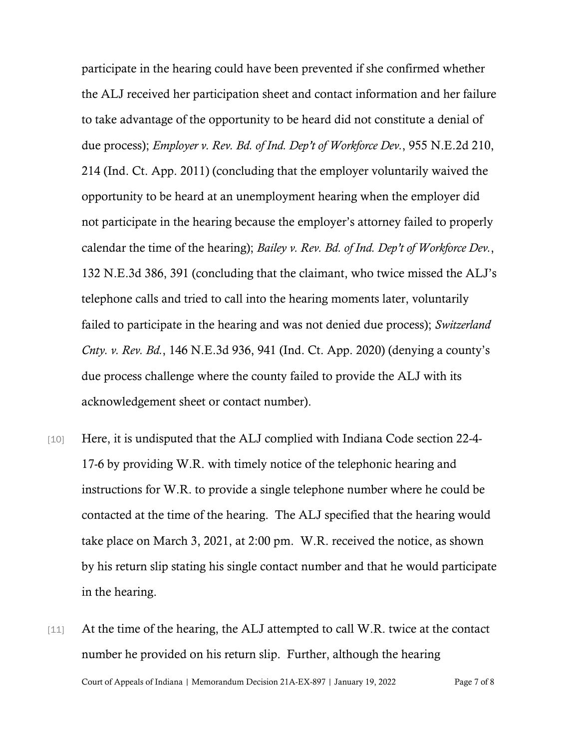participate in the hearing could have been prevented if she confirmed whether the ALJ received her participation sheet and contact information and her failure to take advantage of the opportunity to be heard did not constitute a denial of due process); *Employer v. Rev. Bd. of Ind. Dep't of Workforce Dev.*, 955 N.E.2d 210, 214 (Ind. Ct. App. 2011) (concluding that the employer voluntarily waived the opportunity to be heard at an unemployment hearing when the employer did not participate in the hearing because the employer's attorney failed to properly calendar the time of the hearing); *Bailey v. Rev. Bd. of Ind. Dep't of Workforce Dev.*, 132 N.E.3d 386, 391 (concluding that the claimant, who twice missed the ALJ's telephone calls and tried to call into the hearing moments later, voluntarily failed to participate in the hearing and was not denied due process); *Switzerland Cnty. v. Rev. Bd.*, 146 N.E.3d 936, 941 (Ind. Ct. App. 2020) (denying a county's due process challenge where the county failed to provide the ALJ with its acknowledgement sheet or contact number).

- [10] Here, it is undisputed that the ALJ complied with Indiana Code section 22-4-17-6 by providing W.R. with timely notice of the telephonic hearing and instructions for W.R. to provide a single telephone number where he could be contacted at the time of the hearing. The ALJ specified that the hearing would take place on March 3, 2021, at 2:00 pm. W.R. received the notice, as shown by his return slip stating his single contact number and that he would participate in the hearing.
- Court of Appeals of Indiana | Memorandum Decision 21A-EX-897 | January 19, 2022 Page 7 of 8 [11] At the time of the hearing, the ALJ attempted to call W.R. twice at the contact number he provided on his return slip. Further, although the hearing